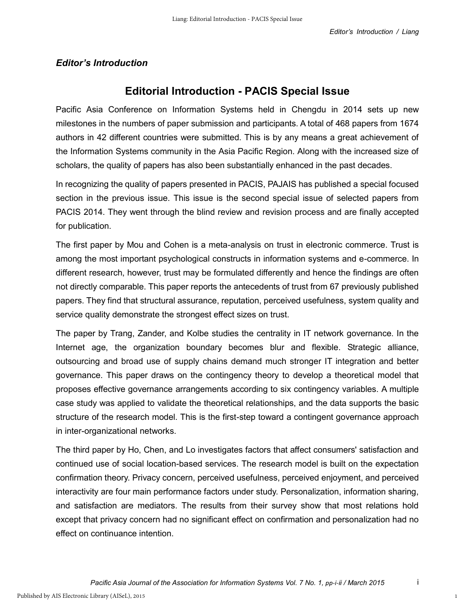## *Editor's Introduction*

## **Editorial Introduction - PACIS Special Issue**

Pacific Asia Conference on Information Systems held in Chengdu in 2014 sets up new milestones in the numbers of paper submission and participants. A total of 468 papers from 1674 authors in 42 different countries were submitted. This is by any means a great achievement of the Information Systems community in the Asia Pacific Region. Along with the increased size of scholars, the quality of papers has also been substantially enhanced in the past decades.

In recognizing the quality of papers presented in PACIS, PAJAIS has published a special focused section in the previous issue. This issue is the second special issue of selected papers from PACIS 2014. They went through the blind review and revision process and are finally accepted for publication.

The first paper by Mou and Cohen is a meta-analysis on trust in electronic commerce. Trust is among the most important psychological constructs in information systems and e-commerce. In different research, however, trust may be formulated differently and hence the findings are often not directly comparable. This paper reports the antecedents of trust from 67 previously published papers. They find that structural assurance, reputation, perceived usefulness, system quality and service quality demonstrate the strongest effect sizes on trust.

The paper by Trang, Zander, and Kolbe studies the centrality in IT network governance. In the Internet age, the organization boundary becomes blur and flexible. Strategic alliance, outsourcing and broad use of supply chains demand much stronger IT integration and better governance. This paper draws on the contingency theory to develop a theoretical model that proposes effective governance arrangements according to six contingency variables. A multiple case study was applied to validate the theoretical relationships, and the data supports the basic structure of the research model. This is the first-step toward a contingent governance approach in inter-organizational networks.

The third paper by Ho, Chen, and Lo investigates factors that affect consumers' satisfaction and continued use of social location-based services. The research model is built on the expectation confirmation theory. Privacy concern, perceived usefulness, perceived enjoyment, and perceived interactivity are four main performance factors under study. Personalization, information sharing, and satisfaction are mediators. The results from their survey show that most relations hold except that privacy concern had no significant effect on confirmation and personalization had no effect on continuance intention.

1